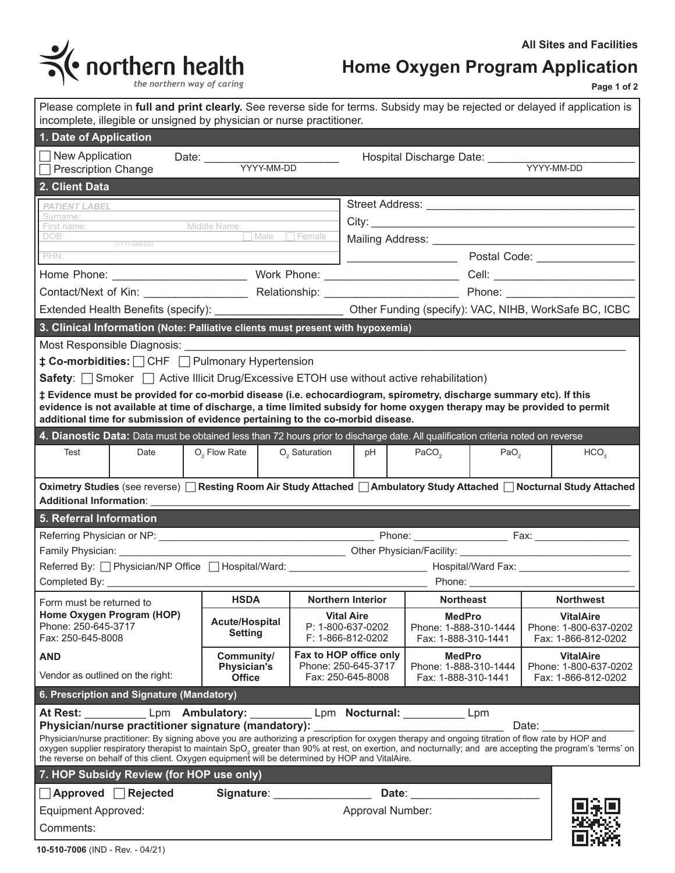

# **Home Oxygen Program Application**

**Page 1 of 2**

| the northern way of caring |  |  |
|----------------------------|--|--|
|                            |  |  |

| Please complete in full and print clearly. See reverse side for terms. Subsidy may be rejected or delayed if application is<br>incomplete, illegible or unsigned by physician or nurse practitioner.                                                                                                                               |                                         |                                               |                                                                                                                |                                           |  |  |  |  |  |
|------------------------------------------------------------------------------------------------------------------------------------------------------------------------------------------------------------------------------------------------------------------------------------------------------------------------------------|-----------------------------------------|-----------------------------------------------|----------------------------------------------------------------------------------------------------------------|-------------------------------------------|--|--|--|--|--|
| 1. Date of Application                                                                                                                                                                                                                                                                                                             |                                         |                                               |                                                                                                                |                                           |  |  |  |  |  |
| New Application                                                                                                                                                                                                                                                                                                                    | Date: VYYY-MM-DD                        |                                               | Hospital Discharge Date: ______                                                                                |                                           |  |  |  |  |  |
| <b>Prescription Change</b>                                                                                                                                                                                                                                                                                                         |                                         |                                               |                                                                                                                | YYYY-MM-DD                                |  |  |  |  |  |
| 2. Client Data                                                                                                                                                                                                                                                                                                                     |                                         |                                               |                                                                                                                |                                           |  |  |  |  |  |
| <b>PATIENT LABEL</b><br>Surname:                                                                                                                                                                                                                                                                                                   |                                         |                                               |                                                                                                                |                                           |  |  |  |  |  |
| Middle Name:<br>First name:                                                                                                                                                                                                                                                                                                        |                                         |                                               |                                                                                                                |                                           |  |  |  |  |  |
| (YYYY-MM-DD)                                                                                                                                                                                                                                                                                                                       | Male Female                             |                                               |                                                                                                                |                                           |  |  |  |  |  |
| PHN:                                                                                                                                                                                                                                                                                                                               |                                         |                                               |                                                                                                                |                                           |  |  |  |  |  |
|                                                                                                                                                                                                                                                                                                                                    |                                         |                                               |                                                                                                                |                                           |  |  |  |  |  |
|                                                                                                                                                                                                                                                                                                                                    |                                         |                                               |                                                                                                                |                                           |  |  |  |  |  |
| Extended Health Benefits (specify): __________________________ Other Funding (specify): VAC, NIHB, WorkSafe BC, ICBC                                                                                                                                                                                                               |                                         |                                               |                                                                                                                |                                           |  |  |  |  |  |
| 3. Clinical Information (Note: Palliative clients must present with hypoxemia)                                                                                                                                                                                                                                                     |                                         |                                               |                                                                                                                |                                           |  |  |  |  |  |
|                                                                                                                                                                                                                                                                                                                                    |                                         |                                               |                                                                                                                |                                           |  |  |  |  |  |
| <b>‡ Co-morbidities:</b> $\Box$ CHF $\Box$ Pulmonary Hypertension                                                                                                                                                                                                                                                                  |                                         |                                               |                                                                                                                |                                           |  |  |  |  |  |
| Safety: $\Box$ Smoker $\Box$ Active Illicit Drug/Excessive ETOH use without active rehabilitation)                                                                                                                                                                                                                                 |                                         |                                               |                                                                                                                |                                           |  |  |  |  |  |
| # Evidence must be provided for co-morbid disease (i.e. echocardiogram, spirometry, discharge summary etc). If this<br>evidence is not available at time of discharge, a time limited subsidy for home oxygen therapy may be provided to permit<br>additional time for submission of evidence pertaining to the co-morbid disease. |                                         |                                               |                                                                                                                |                                           |  |  |  |  |  |
| 4. Dianostic Data: Data must be obtained less than 72 hours prior to discharge date. All qualification criteria noted on reverse                                                                                                                                                                                                   |                                         |                                               |                                                                                                                |                                           |  |  |  |  |  |
| Test<br>Date                                                                                                                                                                                                                                                                                                                       | $O2$ Flow Rate $O2$ Saturation          | $pH$                                          | PACO <sub>2</sub><br>PaO <sub>2</sub>                                                                          | HCO <sub>3</sub>                          |  |  |  |  |  |
|                                                                                                                                                                                                                                                                                                                                    |                                         |                                               |                                                                                                                |                                           |  |  |  |  |  |
| Oximetry Studies (see reverse) □ Resting Room Air Study Attached □ Ambulatory Study Attached □ Nocturnal Study Attached<br><b>Additional Information:</b>                                                                                                                                                                          |                                         |                                               |                                                                                                                |                                           |  |  |  |  |  |
| 5. Referral Information                                                                                                                                                                                                                                                                                                            |                                         |                                               |                                                                                                                |                                           |  |  |  |  |  |
|                                                                                                                                                                                                                                                                                                                                    |                                         |                                               |                                                                                                                |                                           |  |  |  |  |  |
| Family Physician: Family Physician:                                                                                                                                                                                                                                                                                                |                                         |                                               | Deter Physician/Facility: 2011 2022 2023 2024 2024 2022 2023 2024 2022 2023 2024 2022 2023 2024 2022 2024 2022 |                                           |  |  |  |  |  |
|                                                                                                                                                                                                                                                                                                                                    |                                         |                                               |                                                                                                                |                                           |  |  |  |  |  |
| <b>Phone:</b> The contract of the contract of the contract of the contract of the contract of the contract of the contract of the contract of the contract of the contract of the contract of the contract of the contract of the c<br><b>HSDA</b><br><b>Northwest</b><br><b>Northern Interior</b><br><b>Northeast</b>             |                                         |                                               |                                                                                                                |                                           |  |  |  |  |  |
| Form must be returned to<br>Home Oxygen Program (HOP)                                                                                                                                                                                                                                                                              |                                         | <b>Vital Aire</b>                             | <b>MedPro</b>                                                                                                  | <b>VitalAire</b>                          |  |  |  |  |  |
| Phone: 250-645-3717                                                                                                                                                                                                                                                                                                                | <b>Acute/Hospital</b><br><b>Setting</b> | P: 1-800-637-0202                             | Phone: 1-888-310-1444                                                                                          | Phone: 1-800-637-0202                     |  |  |  |  |  |
| Fax: 250-645-8008                                                                                                                                                                                                                                                                                                                  |                                         | F: 1-866-812-0202                             | Fax: 1-888-310-1441                                                                                            | Fax: 1-866-812-0202                       |  |  |  |  |  |
| <b>AND</b>                                                                                                                                                                                                                                                                                                                         | Community/<br><b>Physician's</b>        | Fax to HOP office only<br>Phone: 250-645-3717 | <b>MedPro</b><br>Phone: 1-888-310-1444                                                                         | <b>VitalAire</b><br>Phone: 1-800-637-0202 |  |  |  |  |  |
| Vendor as outlined on the right:                                                                                                                                                                                                                                                                                                   | <b>Office</b>                           | Fax: 250-645-8008                             | Fax: 1-888-310-1441                                                                                            | Fax: 1-866-812-0202                       |  |  |  |  |  |
| 6. Prescription and Signature (Mandatory)                                                                                                                                                                                                                                                                                          |                                         |                                               |                                                                                                                |                                           |  |  |  |  |  |
| At Rest: Lpm Ambulatory: Lem Nocturnal: Lpm Noturnal Lpm                                                                                                                                                                                                                                                                           |                                         |                                               |                                                                                                                |                                           |  |  |  |  |  |
| Physician/nurse practitioner signature (mandatory):<br>Date: <u>______________</u><br>Physician/nurse practitioner: By signing above you are authorizing a prescription for oxygen therapy and ongoing titration of flow rate by HOP and                                                                                           |                                         |                                               |                                                                                                                |                                           |  |  |  |  |  |
|                                                                                                                                                                                                                                                                                                                                    |                                         |                                               |                                                                                                                |                                           |  |  |  |  |  |
| oxygen supplier respiratory therapist to maintain SpO, greater than 90% at rest, on exertion, and nocturnally; and are accepting the program's 'terms' on<br>the reverse on behalf of this client. Oxygen equipment will be determined by HOP and VitalAire.                                                                       |                                         |                                               |                                                                                                                |                                           |  |  |  |  |  |
| 7. HOP Subsidy Review (for HOP use only)                                                                                                                                                                                                                                                                                           |                                         |                                               |                                                                                                                |                                           |  |  |  |  |  |
| $\Box$ Approved $\Box$ Rejected                                                                                                                                                                                                                                                                                                    |                                         | Signature: _________________                  | Date: __________________________                                                                               |                                           |  |  |  |  |  |
| <b>Equipment Approved:</b>                                                                                                                                                                                                                                                                                                         |                                         | Approval Number:                              |                                                                                                                |                                           |  |  |  |  |  |